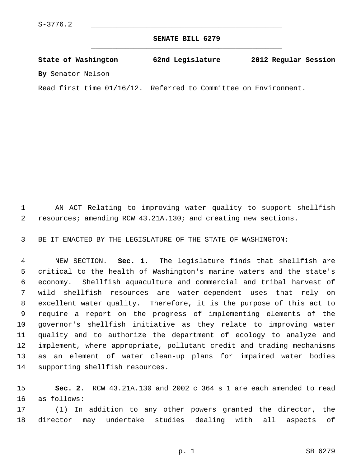**SENATE BILL 6279** \_\_\_\_\_\_\_\_\_\_\_\_\_\_\_\_\_\_\_\_\_\_\_\_\_\_\_\_\_\_\_\_\_\_\_\_\_\_\_\_\_\_\_\_\_

**State of Washington 62nd Legislature 2012 Regular Session By** Senator Nelson

Read first time 01/16/12. Referred to Committee on Environment.

 1 AN ACT Relating to improving water quality to support shellfish 2 resources; amending RCW 43.21A.130; and creating new sections.

3 BE IT ENACTED BY THE LEGISLATURE OF THE STATE OF WASHINGTON:

 4 NEW SECTION. **Sec. 1.** The legislature finds that shellfish are 5 critical to the health of Washington's marine waters and the state's 6 economy. Shellfish aquaculture and commercial and tribal harvest of 7 wild shellfish resources are water-dependent uses that rely on 8 excellent water quality. Therefore, it is the purpose of this act to 9 require a report on the progress of implementing elements of the 10 governor's shellfish initiative as they relate to improving water 11 quality and to authorize the department of ecology to analyze and 12 implement, where appropriate, pollutant credit and trading mechanisms 13 as an element of water clean-up plans for impaired water bodies 14 supporting shellfish resources.

15 **Sec. 2.** RCW 43.21A.130 and 2002 c 364 s 1 are each amended to read 16 as follows:

17 (1) In addition to any other powers granted the director, the 18 director may undertake studies dealing with all aspects of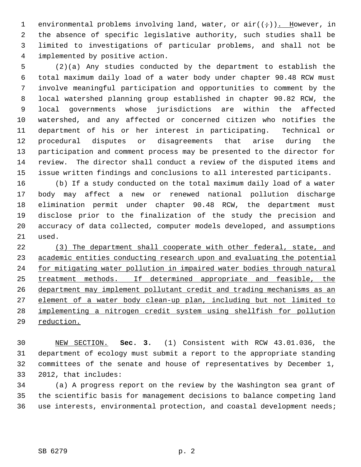1 environmental problems involving land, water, or  $air((\div))$ . However, in 2 the absence of specific legislative authority, such studies shall be 3 limited to investigations of particular problems, and shall not be 4 implemented by positive action.

 5 (2)(a) Any studies conducted by the department to establish the 6 total maximum daily load of a water body under chapter 90.48 RCW must 7 involve meaningful participation and opportunities to comment by the 8 local watershed planning group established in chapter 90.82 RCW, the 9 local governments whose jurisdictions are within the affected 10 watershed, and any affected or concerned citizen who notifies the 11 department of his or her interest in participating. Technical or 12 procedural disputes or disagreements that arise during the 13 participation and comment process may be presented to the director for 14 review. The director shall conduct a review of the disputed items and 15 issue written findings and conclusions to all interested participants.

16 (b) If a study conducted on the total maximum daily load of a water 17 body may affect a new or renewed national pollution discharge 18 elimination permit under chapter 90.48 RCW, the department must 19 disclose prior to the finalization of the study the precision and 20 accuracy of data collected, computer models developed, and assumptions 21 used.

 (3) The department shall cooperate with other federal, state, and academic entities conducting research upon and evaluating the potential for mitigating water pollution in impaired water bodies through natural treatment methods. If determined appropriate and feasible, the department may implement pollutant credit and trading mechanisms as an element of a water body clean-up plan, including but not limited to implementing a nitrogen credit system using shellfish for pollution reduction.

30 NEW SECTION. **Sec. 3.** (1) Consistent with RCW 43.01.036, the 31 department of ecology must submit a report to the appropriate standing 32 committees of the senate and house of representatives by December 1, 33 2012, that includes:

34 (a) A progress report on the review by the Washington sea grant of 35 the scientific basis for management decisions to balance competing land 36 use interests, environmental protection, and coastal development needs;